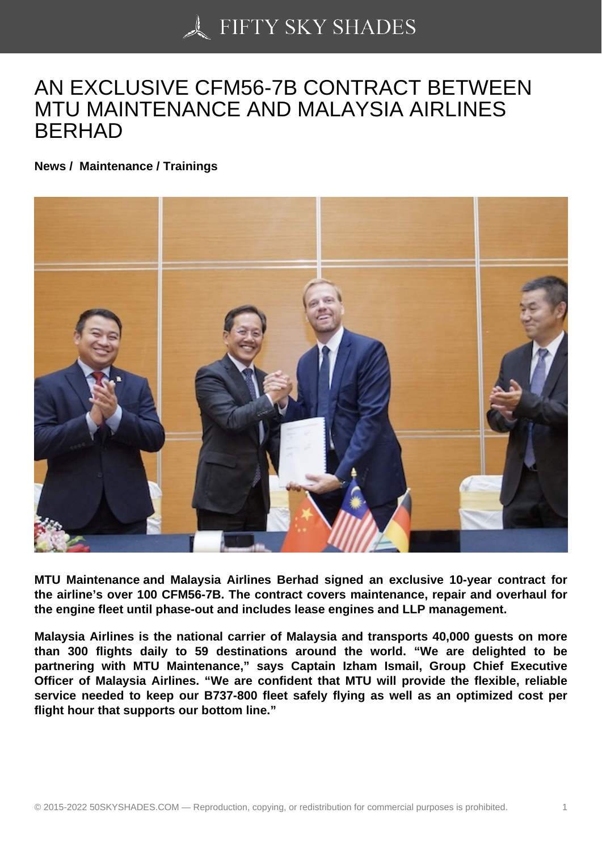## [AN EXCLUSIVE CFM5](https://50skyshades.com)6-7B CONTRACT BETWEEN MTU MAINTENANCE AND MALAYSIA AIRLINES BERHAD

News / Maintenance / Trainings

MTU Maintenance and Malaysia Airlines Berhad signed an exclusive 10-year contract for the airline's over 100 CFM56-7B. The contract covers maintenance, repair and overhaul for the engine fleet until phase-out and includes lease engines and LLP management.

Malaysia Airlines is the national carrier of Malaysia and transports 40,000 guests on more than 300 flights daily to 59 destinations around the world. "We are delighted to be partnering with MTU Maintenance," says Captain Izham Ismail, Group Chief Executive Officer of Malaysia Airlines. "We are confident that MTU will provide the flexible, reliable service needed to keep our B737-800 fleet safely flying as well as an optimized cost per flight hour that supports our bottom line."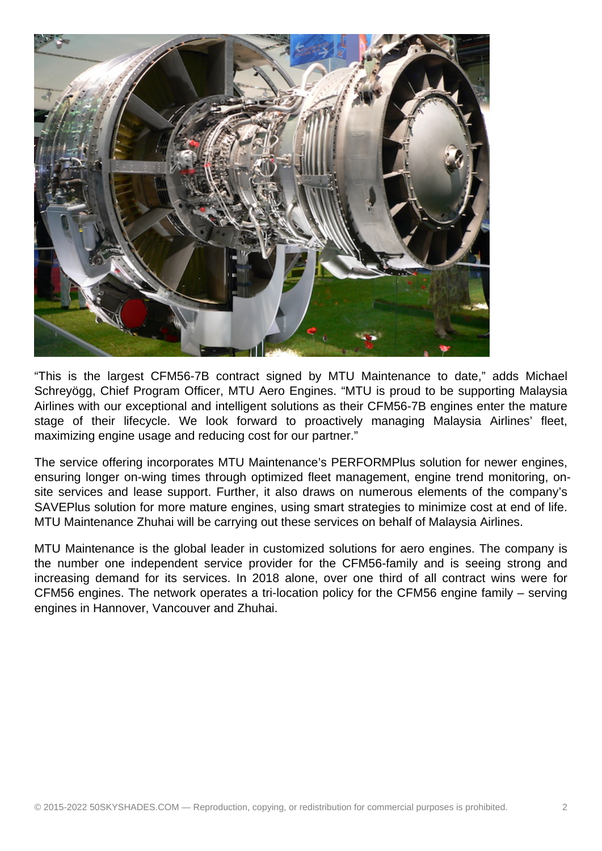

"This is the largest CFM56-7B contract signed by MTU Maintenance to date," adds Michael Schreyögg, Chief Program Officer, MTU Aero Engines. "MTU is proud to be supporting Malaysia Airlines with our exceptional and intelligent solutions as their CFM56-7B engines enter the mature stage of their lifecycle. We look forward to proactively managing Malaysia Airlines' fleet, maximizing engine usage and reducing cost for our partner."

The service offering incorporates MTU Maintenance's PERFORMPlus solution for newer engines, ensuring longer on-wing times through optimized fleet management, engine trend monitoring, onsite services and lease support. Further, it also draws on numerous elements of the company's SAVEPlus solution for more mature engines, using smart strategies to minimize cost at end of life. MTU Maintenance Zhuhai will be carrying out these services on behalf of Malaysia Airlines.

MTU Maintenance is the global leader in customized solutions for aero engines. The company is the number one independent service provider for the CFM56-family and is seeing strong and increasing demand for its services. In 2018 alone, over one third of all contract wins were for CFM56 engines. The network operates a tri-location policy for the CFM56 engine family – serving engines in Hannover, Vancouver and Zhuhai.